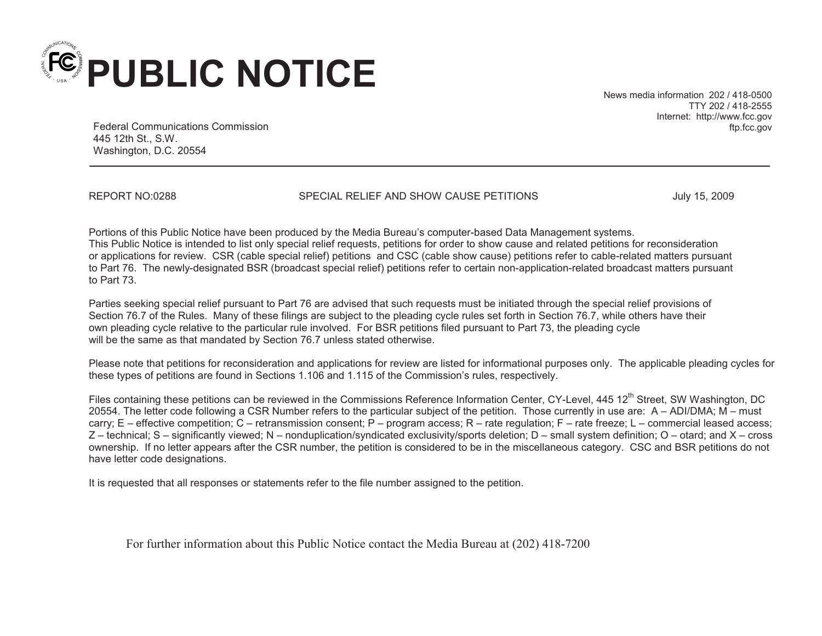

News media information 202 / 418-0500 TTY 202 / 418-2555 Internet: http://www.fcc.gov ftp.fcc.gov

Federal Communications Commission 445 12th St., S.W. Washington, D.C. 20554

REPORT NO:0288 SPECIAL RELIEF AND SHOW CAUSE PETITIONS JULY 15, 2009

Portions of this Public Notice have been produced by the Media Bureau's computer-based Data Management systems. This Public Notice is intended to list only special relief requests, petitions for order to show cause and related petitions for reconsideration or applications for review. CSR (cable special relief) petitions and CSC (cable show cause) petitions refer to cable-related matters pursuant to Part 76. The newly-designated BSR (broadcast special relief) petitions refer to certain non-application-related broadcast matters pursuant to Part 73.

Parties seeking special relief pursuant to Part 76 are advised that such requests must be initiated through the special relief provisions of Section 76.7 of the Rules. Many of these filings are subject to the pleading cycle rules set forth in Section 76.7, while others have their own pleading cycle relative to the particular rule involved. For BSR petitions filed pursuant to Part 73, the pleading cycle will be the same as that mandated by Section 76.7 unless stated otherwise.

Please note that petitions for reconsideration and applications for review are listed for informational purposes only. The applicable pleading cycles for these types of petitions are found in Sections 1.106 and 1.115 of the Commission's rules, respectively.

Files containing these petitions can be reviewed in the Commissions Reference Information Center, CY-Level, 445 12<sup>th</sup> Street, SW Washington, DC 20554. The letter code following a CSR Number refers to the particular subject of the petition. Those currently in use are: A – ADI/DMA; M – must carry; E – effective competition; C – retransmission consent; P – program access; R – rate regulation; F – rate freeze; L – commercial leased access; Z – technical; S – significantly viewed; N – nonduplication/syndicated exclusivity/sports deletion; D – small system definition; O – otard; and X – cross ownership. If no letter appears after the CSR number, the petition is considered to be in the miscellaneous category. CSC and BSR petitions do not have letter code designations.

It is requested that all responses or statements refer to the file number assigned to the petition.

For further information about this Public Notice contact the Media Bureau at (202) 418-7200